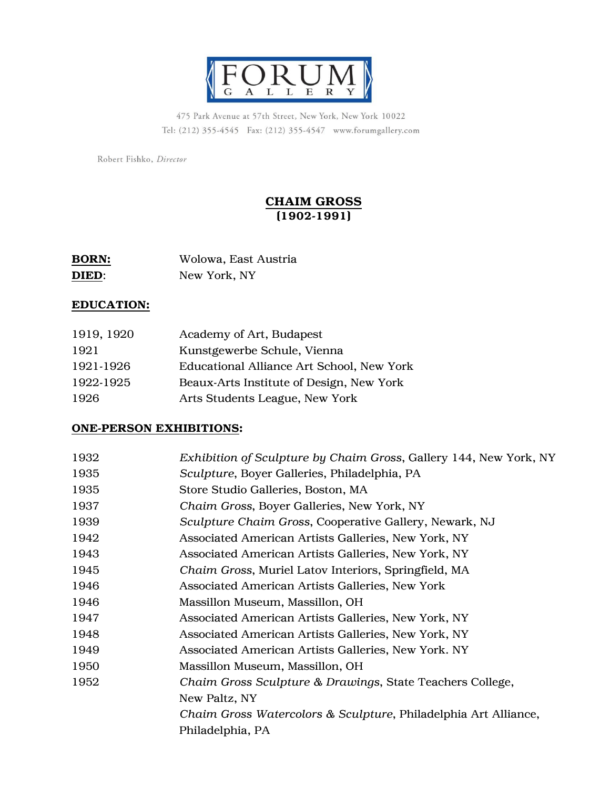

475 Park Avenue at 57th Street, New York, New York 10022 Tel: (212) 355-4545 Fax: (212) 355-4547 www.forumgallery.com

Robert Fishko, Director

# CHAIM GROSS (1902-1991)

| <b>BORN:</b> | Wolowa, East Austria |
|--------------|----------------------|
| <b>DIED:</b> | New York, NY         |

### EDUCATION:

| 1919, 1920 | Academy of Art, Budapest                  |
|------------|-------------------------------------------|
| 1921       | Kunstgewerbe Schule, Vienna               |
| 1921-1926  | Educational Alliance Art School, New York |
| 1922-1925  | Beaux-Arts Institute of Design, New York  |
| 1926       | Arts Students League, New York            |

#### ONE-PERSON EXHIBITIONS:

| 1932 | Exhibition of Sculpture by Chaim Gross, Gallery 144, New York, NY |
|------|-------------------------------------------------------------------|
| 1935 | Sculpture, Boyer Galleries, Philadelphia, PA                      |
| 1935 | Store Studio Galleries, Boston, MA                                |
| 1937 | Chaim Gross, Boyer Galleries, New York, NY                        |
| 1939 | Sculpture Chaim Gross, Cooperative Gallery, Newark, NJ            |
| 1942 | Associated American Artists Galleries, New York, NY               |
| 1943 | Associated American Artists Galleries, New York, NY               |
| 1945 | Chaim Gross, Muriel Latov Interiors, Springfield, MA              |
| 1946 | Associated American Artists Galleries, New York                   |
| 1946 | Massillon Museum, Massillon, OH                                   |
| 1947 | Associated American Artists Galleries, New York, NY               |
| 1948 | Associated American Artists Galleries, New York, NY               |
| 1949 | Associated American Artists Galleries, New York. NY               |
| 1950 | Massillon Museum, Massillon, OH                                   |
| 1952 | Chaim Gross Sculpture & Drawings, State Teachers College,         |
|      | New Paltz, NY                                                     |
|      | Chaim Gross Watercolors & Sculpture, Philadelphia Art Alliance,   |
|      | Philadelphia, PA                                                  |
|      |                                                                   |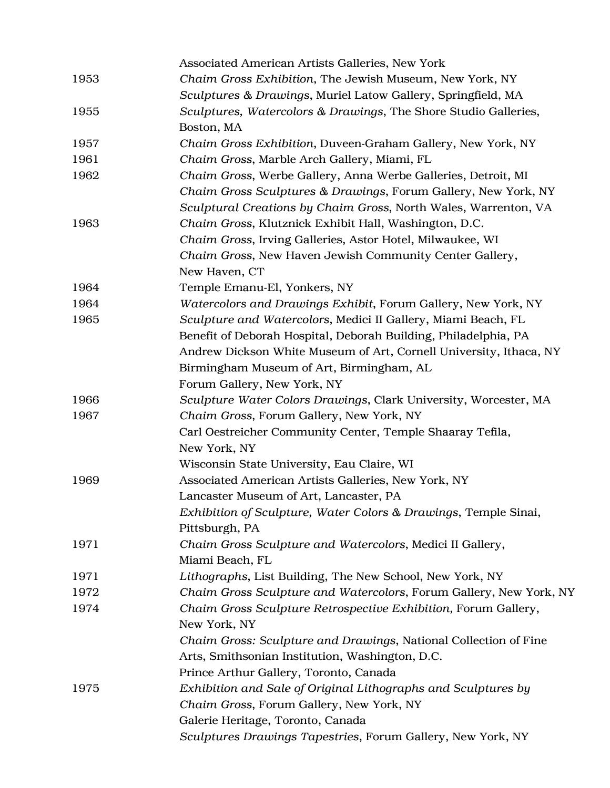|      | Associated American Artists Galleries, New York                    |
|------|--------------------------------------------------------------------|
| 1953 | Chaim Gross Exhibition, The Jewish Museum, New York, NY            |
|      | Sculptures & Drawings, Muriel Latow Gallery, Springfield, MA       |
| 1955 | Sculptures, Watercolors & Drawings, The Shore Studio Galleries,    |
|      | Boston, MA                                                         |
| 1957 | Chaim Gross Exhibition, Duveen-Graham Gallery, New York, NY        |
| 1961 | Chaim Gross, Marble Arch Gallery, Miami, FL                        |
| 1962 | Chaim Gross, Werbe Gallery, Anna Werbe Galleries, Detroit, MI      |
|      | Chaim Gross Sculptures & Drawings, Forum Gallery, New York, NY     |
|      | Sculptural Creations by Chaim Gross, North Wales, Warrenton, VA    |
| 1963 | Chaim Gross, Klutznick Exhibit Hall, Washington, D.C.              |
|      | Chaim Gross, Irving Galleries, Astor Hotel, Milwaukee, WI          |
|      | Chaim Gross, New Haven Jewish Community Center Gallery,            |
|      | New Haven, CT                                                      |
| 1964 | Temple Emanu-El, Yonkers, NY                                       |
| 1964 | Watercolors and Drawings Exhibit, Forum Gallery, New York, NY      |
| 1965 | Sculpture and Watercolors, Medici II Gallery, Miami Beach, FL      |
|      | Benefit of Deborah Hospital, Deborah Building, Philadelphia, PA    |
|      | Andrew Dickson White Museum of Art, Cornell University, Ithaca, NY |
|      | Birmingham Museum of Art, Birmingham, AL                           |
|      | Forum Gallery, New York, NY                                        |
| 1966 | Sculpture Water Colors Drawings, Clark University, Worcester, MA   |
| 1967 | Chaim Gross, Forum Gallery, New York, NY                           |
|      | Carl Oestreicher Community Center, Temple Shaaray Tefila,          |
|      | New York, NY                                                       |
|      | Wisconsin State University, Eau Claire, WI                         |
| 1969 | Associated American Artists Galleries, New York, NY                |
|      | Lancaster Museum of Art, Lancaster, PA                             |
|      | Exhibition of Sculpture, Water Colors & Drawings, Temple Sinai,    |
|      | Pittsburgh, PA                                                     |
| 1971 | Chaim Gross Sculpture and Watercolors, Medici II Gallery,          |
|      | Miami Beach, FL                                                    |
| 1971 | Lithographs, List Building, The New School, New York, NY           |
| 1972 | Chaim Gross Sculpture and Watercolors, Forum Gallery, New York, NY |
| 1974 | Chaim Gross Sculpture Retrospective Exhibition, Forum Gallery,     |
|      | New York, NY                                                       |
|      | Chaim Gross: Sculpture and Drawings, National Collection of Fine   |
|      | Arts, Smithsonian Institution, Washington, D.C.                    |
|      | Prince Arthur Gallery, Toronto, Canada                             |
| 1975 | Exhibition and Sale of Original Lithographs and Sculptures by      |
|      | Chaim Gross, Forum Gallery, New York, NY                           |
|      | Galerie Heritage, Toronto, Canada                                  |
|      | Sculptures Drawings Tapestries, Forum Gallery, New York, NY        |
|      |                                                                    |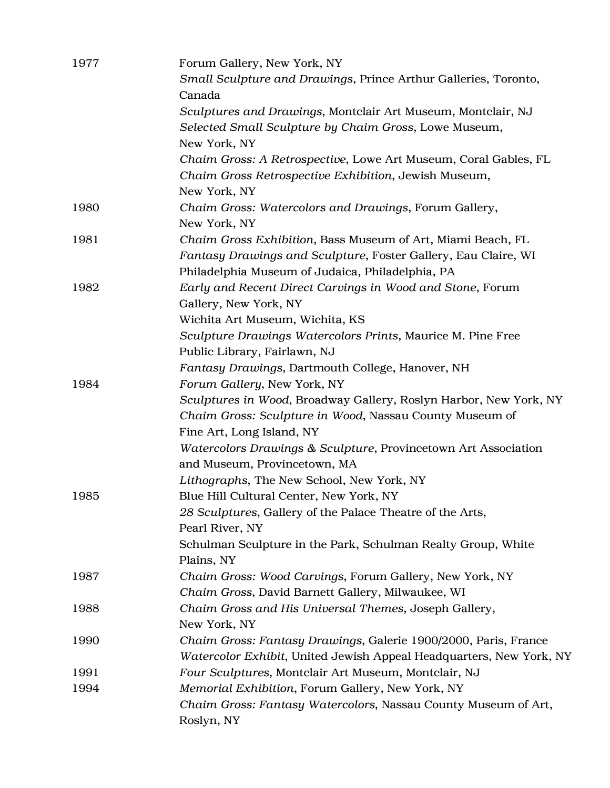| 1977 | Forum Gallery, New York, NY<br>Small Sculpture and Drawings, Prince Arthur Galleries, Toronto, |
|------|------------------------------------------------------------------------------------------------|
|      | Canada                                                                                         |
|      | Sculptures and Drawings, Montclair Art Museum, Montclair, NJ                                   |
|      | Selected Small Sculpture by Chaim Gross, Lowe Museum,                                          |
|      |                                                                                                |
|      | New York, NY                                                                                   |
|      | Chaim Gross: A Retrospective, Lowe Art Museum, Coral Gables, FL                                |
|      | Chaim Gross Retrospective Exhibition, Jewish Museum,                                           |
|      | New York, NY                                                                                   |
| 1980 | Chaim Gross: Watercolors and Drawings, Forum Gallery,                                          |
|      | New York, NY                                                                                   |
| 1981 | Chaim Gross Exhibition, Bass Museum of Art, Miami Beach, FL                                    |
|      | Fantasy Drawings and Sculpture, Foster Gallery, Eau Claire, WI                                 |
|      | Philadelphia Museum of Judaica, Philadelphia, PA                                               |
| 1982 | Early and Recent Direct Carvings in Wood and Stone, Forum                                      |
|      | Gallery, New York, NY                                                                          |
|      | Wichita Art Museum, Wichita, KS                                                                |
|      | Sculpture Drawings Watercolors Prints, Maurice M. Pine Free                                    |
|      | Public Library, Fairlawn, NJ                                                                   |
|      | Fantasy Drawings, Dartmouth College, Hanover, NH                                               |
| 1984 | Forum Gallery, New York, NY                                                                    |
|      | Sculptures in Wood, Broadway Gallery, Roslyn Harbor, New York, NY                              |
|      | Chaim Gross: Sculpture in Wood, Nassau County Museum of                                        |
|      | Fine Art, Long Island, NY                                                                      |
|      | Watercolors Drawings & Sculpture, Provincetown Art Association                                 |
|      | and Museum, Provincetown, MA                                                                   |
|      | Lithographs, The New School, New York, NY                                                      |
| 1985 | Blue Hill Cultural Center, New York, NY                                                        |
|      | 28 Sculptures, Gallery of the Palace Theatre of the Arts,                                      |
|      | Pearl River, NY                                                                                |
|      | Schulman Sculpture in the Park, Schulman Realty Group, White                                   |
|      | Plains, NY                                                                                     |
| 1987 | Chaim Gross: Wood Carvings, Forum Gallery, New York, NY                                        |
|      | Chaim Gross, David Barnett Gallery, Milwaukee, WI                                              |
| 1988 | Chaim Gross and His Universal Themes, Joseph Gallery,                                          |
|      | New York, NY                                                                                   |
| 1990 | Chaim Gross: Fantasy Drawings, Galerie 1900/2000, Paris, France                                |
|      | Watercolor Exhibit, United Jewish Appeal Headquarters, New York, NY                            |
| 1991 | Four Sculptures, Montclair Art Museum, Montclair, NJ                                           |
| 1994 | Memorial Exhibition, Forum Gallery, New York, NY                                               |
|      |                                                                                                |
|      | Chaim Gross: Fantasy Watercolors, Nassau County Museum of Art,                                 |
|      | Roslyn, NY                                                                                     |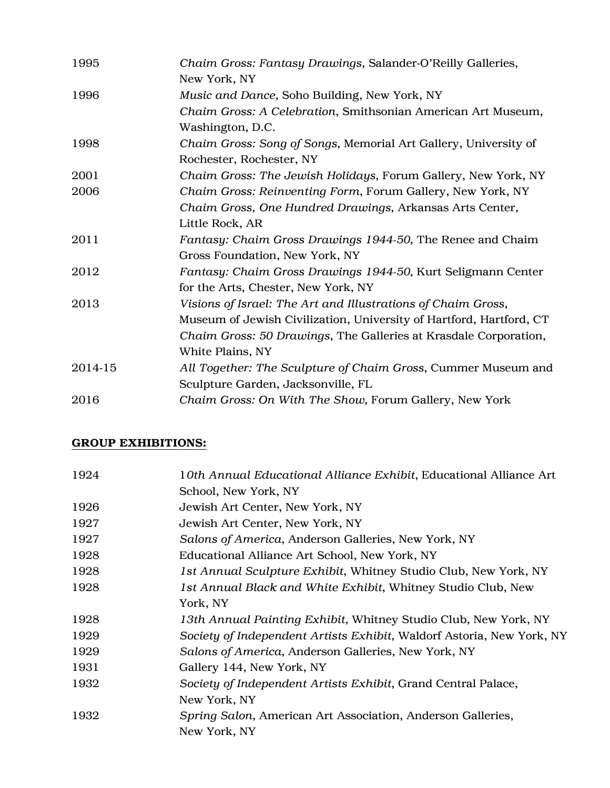| 1995    | Chaim Gross: Fantasy Drawings, Salander-O'Reilly Galleries,<br>New York, NY                 |
|---------|---------------------------------------------------------------------------------------------|
| 1996    | Music and Dance, Soho Building, New York, NY                                                |
|         | Chaim Gross: A Celebration, Smithsonian American Art Museum,                                |
|         | Washington, D.C.                                                                            |
| 1998    | Chaim Gross: Song of Songs, Memorial Art Gallery, University of<br>Rochester, Rochester, NY |
| 2001    | Chaim Gross: The Jewish Holidays, Forum Gallery, New York, NY                               |
| 2006    | Chaim Gross: Reinventing Form, Forum Gallery, New York, NY                                  |
|         | Chaim Gross, One Hundred Drawings, Arkansas Arts Center,                                    |
|         | Little Rock, AR                                                                             |
| 2011    | Fantasy: Chaim Gross Drawings 1944-50, The Renee and Chaim                                  |
|         | Gross Foundation, New York, NY                                                              |
| 2012    | Fantasy: Chaim Gross Drawings 1944-50, Kurt Seligmann Center                                |
|         | for the Arts, Chester, New York, NY                                                         |
| 2013    | Visions of Israel: The Art and Illustrations of Chaim Gross,                                |
|         | Museum of Jewish Civilization, University of Hartford, Hartford, CT                         |
|         | Chaim Gross: 50 Drawings, The Galleries at Krasdale Corporation,                            |
|         | White Plains, NY                                                                            |
| 2014-15 | All Together: The Sculpture of Chaim Gross, Cummer Museum and                               |
|         | Sculpture Garden, Jacksonville, FL                                                          |
| 2016    | Chaim Gross: On With The Show, Forum Gallery, New York                                      |

# GROUP EXHIBITIONS:

| 1924 | 10th Annual Educational Alliance Exhibit, Educational Alliance Art    |
|------|-----------------------------------------------------------------------|
|      | School, New York, NY                                                  |
| 1926 | Jewish Art Center, New York, NY                                       |
| 1927 | Jewish Art Center, New York, NY                                       |
| 1927 | Salons of America, Anderson Galleries, New York, NY                   |
| 1928 | Educational Alliance Art School, New York, NY                         |
| 1928 | 1st Annual Sculpture Exhibit, Whitney Studio Club, New York, NY       |
| 1928 | 1st Annual Black and White Exhibit, Whitney Studio Club, New          |
|      | York, NY                                                              |
| 1928 | 13th Annual Painting Exhibit, Whitney Studio Club, New York, NY       |
| 1929 | Society of Independent Artists Exhibit, Waldorf Astoria, New York, NY |
| 1929 | Salons of America, Anderson Galleries, New York, NY                   |
| 1931 | Gallery 144, New York, NY                                             |
| 1932 | Society of Independent Artists Exhibit, Grand Central Palace,         |
|      | New York, NY                                                          |
| 1932 | Spring Salon, American Art Association, Anderson Galleries,           |
|      | New York, NY                                                          |
|      |                                                                       |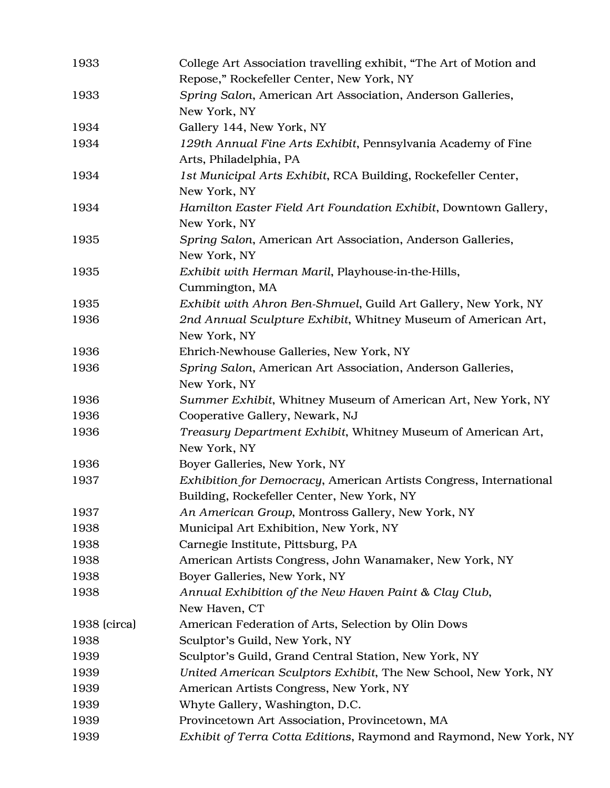| 1933         | College Art Association travelling exhibit, "The Art of Motion and<br>Repose," Rockefeller Center, New York, NY  |
|--------------|------------------------------------------------------------------------------------------------------------------|
| 1933         | Spring Salon, American Art Association, Anderson Galleries,                                                      |
|              | New York, NY                                                                                                     |
| 1934         | Gallery 144, New York, NY                                                                                        |
| 1934         | 129th Annual Fine Arts Exhibit, Pennsylvania Academy of Fine<br>Arts, Philadelphia, PA                           |
| 1934         | 1st Municipal Arts Exhibit, RCA Building, Rockefeller Center,<br>New York, NY                                    |
| 1934         | Hamilton Easter Field Art Foundation Exhibit, Downtown Gallery,<br>New York, NY                                  |
| 1935         | Spring Salon, American Art Association, Anderson Galleries,<br>New York, NY                                      |
| 1935         | Exhibit with Herman Maril, Playhouse-in-the-Hills,<br>Cummington, MA                                             |
| 1935         | Exhibit with Ahron Ben-Shmuel, Guild Art Gallery, New York, NY                                                   |
| 1936         | 2nd Annual Sculpture Exhibit, Whitney Museum of American Art,                                                    |
|              | New York, NY                                                                                                     |
| 1936         | Ehrich-Newhouse Galleries, New York, NY                                                                          |
| 1936         | Spring Salon, American Art Association, Anderson Galleries,                                                      |
|              | New York, NY                                                                                                     |
| 1936         | Summer Exhibit, Whitney Museum of American Art, New York, NY                                                     |
| 1936         | Cooperative Gallery, Newark, NJ                                                                                  |
| 1936         | Treasury Department Exhibit, Whitney Museum of American Art,<br>New York, NY                                     |
| 1936         | Boyer Galleries, New York, NY                                                                                    |
| 1937         | Exhibition for Democracy, American Artists Congress, International<br>Building, Rockefeller Center, New York, NY |
| 1937         | An American Group, Montross Gallery, New York, NY                                                                |
| 1938         | Municipal Art Exhibition, New York, NY                                                                           |
| 1938         | Carnegie Institute, Pittsburg, PA                                                                                |
| 1938         | American Artists Congress, John Wanamaker, New York, NY                                                          |
| 1938         | Boyer Galleries, New York, NY                                                                                    |
| 1938         | Annual Exhibition of the New Haven Paint & Clay Club,                                                            |
|              | New Haven, CT                                                                                                    |
| 1938 (circa) | American Federation of Arts, Selection by Olin Dows                                                              |
| 1938         | Sculptor's Guild, New York, NY                                                                                   |
| 1939         | Sculptor's Guild, Grand Central Station, New York, NY                                                            |
| 1939         | United American Sculptors Exhibit, The New School, New York, NY                                                  |
| 1939         | American Artists Congress, New York, NY                                                                          |
| 1939         | Whyte Gallery, Washington, D.C.                                                                                  |
| 1939         | Provincetown Art Association, Provincetown, MA                                                                   |
| 1939         | Exhibit of Terra Cotta Editions, Raymond and Raymond, New York, NY                                               |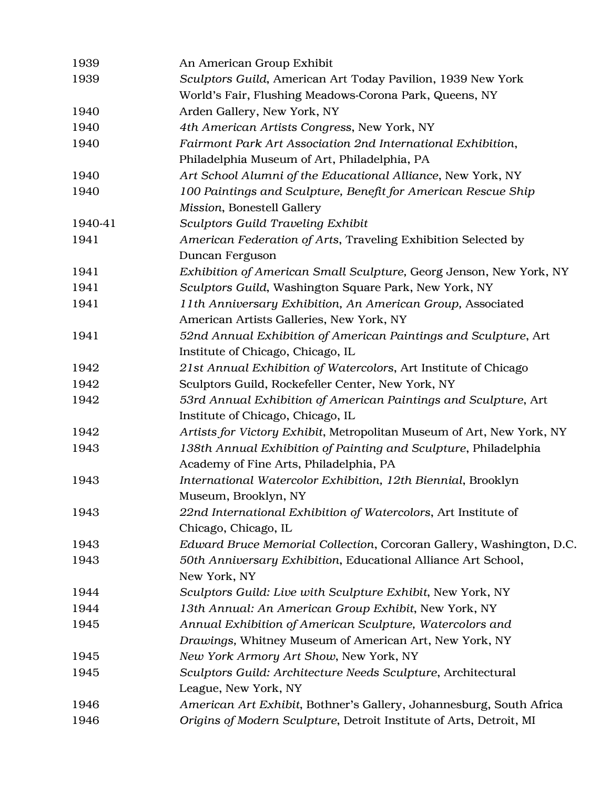| 1939    | An American Group Exhibit                                             |
|---------|-----------------------------------------------------------------------|
| 1939    | Sculptors Guild, American Art Today Pavilion, 1939 New York           |
|         | World's Fair, Flushing Meadows-Corona Park, Queens, NY                |
| 1940    | Arden Gallery, New York, NY                                           |
| 1940    | 4th American Artists Congress, New York, NY                           |
| 1940    | Fairmont Park Art Association 2nd International Exhibition,           |
|         | Philadelphia Museum of Art, Philadelphia, PA                          |
| 1940    | Art School Alumni of the Educational Alliance, New York, NY           |
| 1940    | 100 Paintings and Sculpture, Benefit for American Rescue Ship         |
|         | Mission, Bonestell Gallery                                            |
| 1940-41 | <b>Sculptors Guild Traveling Exhibit</b>                              |
| 1941    | American Federation of Arts, Traveling Exhibition Selected by         |
|         | Duncan Ferguson                                                       |
| 1941    | Exhibition of American Small Sculpture, Georg Jenson, New York, NY    |
| 1941    | Sculptors Guild, Washington Square Park, New York, NY                 |
| 1941    | 11th Anniversary Exhibition, An American Group, Associated            |
|         | American Artists Galleries, New York, NY                              |
| 1941    | 52nd Annual Exhibition of American Paintings and Sculpture, Art       |
|         | Institute of Chicago, Chicago, IL                                     |
| 1942    | 21st Annual Exhibition of Watercolors, Art Institute of Chicago       |
| 1942    | Sculptors Guild, Rockefeller Center, New York, NY                     |
| 1942    | 53rd Annual Exhibition of American Paintings and Sculpture, Art       |
|         | Institute of Chicago, Chicago, IL                                     |
| 1942    | Artists for Victory Exhibit, Metropolitan Museum of Art, New York, NY |
| 1943    | 138th Annual Exhibition of Painting and Sculpture, Philadelphia       |
|         | Academy of Fine Arts, Philadelphia, PA                                |
| 1943    | International Watercolor Exhibition, 12th Biennial, Brooklyn          |
|         | Museum, Brooklyn, NY                                                  |
| 1943    | 22nd International Exhibition of Watercolors, Art Institute of        |
|         | Chicago, Chicago, IL                                                  |
| 1943    | Edward Bruce Memorial Collection, Corcoran Gallery, Washington, D.C.  |
| 1943    | 50th Anniversary Exhibition, Educational Alliance Art School,         |
|         | New York, NY                                                          |
| 1944    | Sculptors Guild: Live with Sculpture Exhibit, New York, NY            |
| 1944    | 13th Annual: An American Group Exhibit, New York, NY                  |
| 1945    | Annual Exhibition of American Sculpture, Watercolors and              |
|         | Drawings, Whitney Museum of American Art, New York, NY                |
| 1945    | New York Armory Art Show, New York, NY                                |
| 1945    | Sculptors Guild: Architecture Needs Sculpture, Architectural          |
|         | League, New York, NY                                                  |
| 1946    | American Art Exhibit, Bothner's Gallery, Johannesburg, South Africa   |
| 1946    | Origins of Modern Sculpture, Detroit Institute of Arts, Detroit, MI   |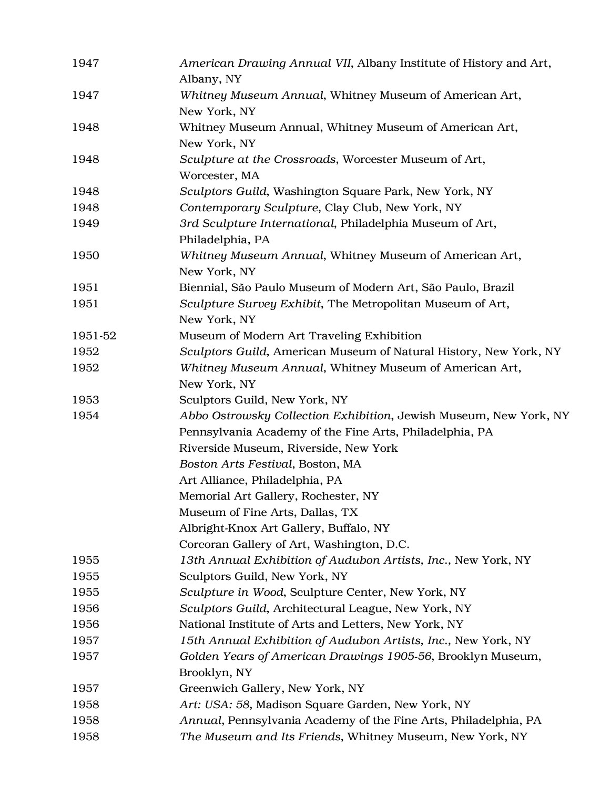| 1947    | American Drawing Annual VII, Albany Institute of History and Art,<br>Albany, NY |
|---------|---------------------------------------------------------------------------------|
| 1947    | Whitney Museum Annual, Whitney Museum of American Art,<br>New York, NY          |
| 1948    | Whitney Museum Annual, Whitney Museum of American Art,<br>New York, NY          |
| 1948    | Sculpture at the Crossroads, Worcester Museum of Art,<br>Worcester, MA          |
| 1948    | Sculptors Guild, Washington Square Park, New York, NY                           |
| 1948    | Contemporary Sculpture, Clay Club, New York, NY                                 |
| 1949    | 3rd Sculpture International, Philadelphia Museum of Art,<br>Philadelphia, PA    |
| 1950    | Whitney Museum Annual, Whitney Museum of American Art,<br>New York, NY          |
| 1951    | Biennial, São Paulo Museum of Modern Art, São Paulo, Brazil                     |
| 1951    | Sculpture Survey Exhibit, The Metropolitan Museum of Art,<br>New York, NY       |
| 1951-52 | Museum of Modern Art Traveling Exhibition                                       |
| 1952    | Sculptors Guild, American Museum of Natural History, New York, NY               |
| 1952    | Whitney Museum Annual, Whitney Museum of American Art,<br>New York, NY          |
| 1953    | Sculptors Guild, New York, NY                                                   |
| 1954    | Abbo Ostrowsky Collection Exhibition, Jewish Museum, New York, NY               |
|         | Pennsylvania Academy of the Fine Arts, Philadelphia, PA                         |
|         | Riverside Museum, Riverside, New York                                           |
|         | Boston Arts Festival, Boston, MA                                                |
|         | Art Alliance, Philadelphia, PA                                                  |
|         | Memorial Art Gallery, Rochester, NY                                             |
|         | Museum of Fine Arts, Dallas, TX                                                 |
|         | Albright-Knox Art Gallery, Buffalo, NY                                          |
|         | Corcoran Gallery of Art, Washington, D.C.                                       |
| 1955    | 13th Annual Exhibition of Audubon Artists, Inc., New York, NY                   |
| 1955    | Sculptors Guild, New York, NY                                                   |
| 1955    | Sculpture in Wood, Sculpture Center, New York, NY                               |
| 1956    | Sculptors Guild, Architectural League, New York, NY                             |
| 1956    | National Institute of Arts and Letters, New York, NY                            |
| 1957    | 15th Annual Exhibition of Audubon Artists, Inc., New York, NY                   |
| 1957    | Golden Years of American Drawings 1905-56, Brooklyn Museum,                     |
|         | Brooklyn, NY                                                                    |
| 1957    | Greenwich Gallery, New York, NY                                                 |
| 1958    | Art: USA: 58, Madison Square Garden, New York, NY                               |
| 1958    | Annual, Pennsylvania Academy of the Fine Arts, Philadelphia, PA                 |
| 1958    | The Museum and Its Friends, Whitney Museum, New York, NY                        |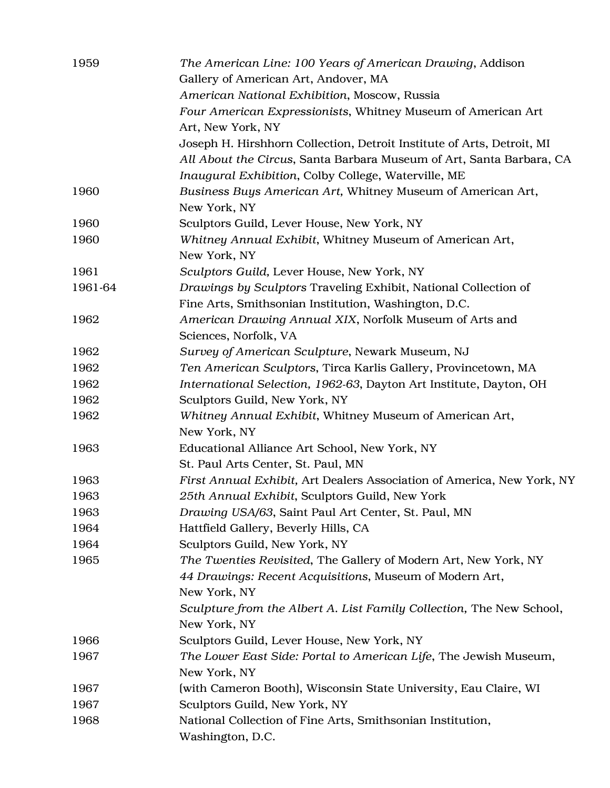| 1959    | The American Line: 100 Years of American Drawing, Addison<br>Gallery of American Art, Andover, MA |
|---------|---------------------------------------------------------------------------------------------------|
|         | American National Exhibition, Moscow, Russia                                                      |
|         | Four American Expressionists, Whitney Museum of American Art                                      |
|         | Art, New York, NY                                                                                 |
|         | Joseph H. Hirshhorn Collection, Detroit Institute of Arts, Detroit, MI                            |
|         | All About the Circus, Santa Barbara Museum of Art, Santa Barbara, CA                              |
|         | Inaugural Exhibition, Colby College, Waterville, ME                                               |
| 1960    | Business Buys American Art, Whitney Museum of American Art,                                       |
|         | New York, NY                                                                                      |
| 1960    | Sculptors Guild, Lever House, New York, NY                                                        |
| 1960    | Whitney Annual Exhibit, Whitney Museum of American Art,                                           |
|         | New York, NY                                                                                      |
| 1961    | Sculptors Guild, Lever House, New York, NY                                                        |
| 1961-64 | Drawings by Sculptors Traveling Exhibit, National Collection of                                   |
|         | Fine Arts, Smithsonian Institution, Washington, D.C.                                              |
| 1962    | American Drawing Annual XIX, Norfolk Museum of Arts and                                           |
|         | Sciences, Norfolk, VA                                                                             |
| 1962    | Survey of American Sculpture, Newark Museum, NJ                                                   |
| 1962    | Ten American Sculptors, Tirca Karlis Gallery, Provincetown, MA                                    |
| 1962    | International Selection, 1962-63, Dayton Art Institute, Dayton, OH                                |
| 1962    | Sculptors Guild, New York, NY                                                                     |
| 1962    | Whitney Annual Exhibit, Whitney Museum of American Art,                                           |
|         | New York, NY                                                                                      |
| 1963    | Educational Alliance Art School, New York, NY                                                     |
|         | St. Paul Arts Center, St. Paul, MN                                                                |
| 1963    | First Annual Exhibit, Art Dealers Association of America, New York, NY                            |
| 1963    | 25th Annual Exhibit, Sculptors Guild, New York                                                    |
| 1963    | Drawing USA/63, Saint Paul Art Center, St. Paul, MN                                               |
| 1964    | Hattfield Gallery, Beverly Hills, CA                                                              |
| 1964    | Sculptors Guild, New York, NY                                                                     |
| 1965    | The Twenties Revisited, The Gallery of Modern Art, New York, NY                                   |
|         | 44 Drawings: Recent Acquisitions, Museum of Modern Art,                                           |
|         | New York, NY                                                                                      |
|         | Sculpture from the Albert A. List Family Collection, The New School,                              |
|         | New York, NY                                                                                      |
| 1966    | Sculptors Guild, Lever House, New York, NY                                                        |
| 1967    | The Lower East Side: Portal to American Life, The Jewish Museum,                                  |
|         | New York, NY                                                                                      |
| 1967    | (with Cameron Booth), Wisconsin State University, Eau Claire, WI                                  |
| 1967    | Sculptors Guild, New York, NY                                                                     |
| 1968    | National Collection of Fine Arts, Smithsonian Institution,                                        |
|         | Washington, D.C.                                                                                  |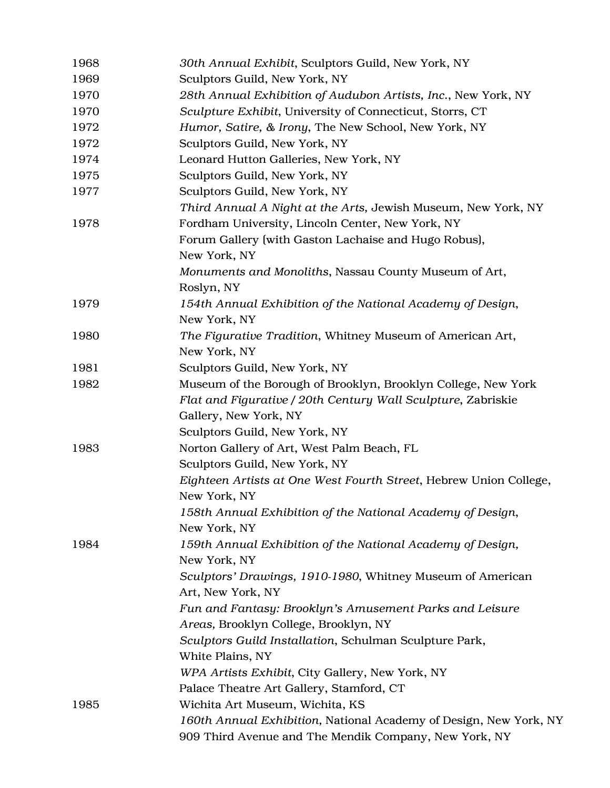| 1968 | 30th Annual Exhibit, Sculptors Guild, New York, NY                |
|------|-------------------------------------------------------------------|
| 1969 | Sculptors Guild, New York, NY                                     |
| 1970 | 28th Annual Exhibition of Audubon Artists, Inc., New York, NY     |
| 1970 | Sculpture Exhibit, University of Connecticut, Storrs, CT          |
| 1972 | Humor, Satire, & Irony, The New School, New York, NY              |
| 1972 | Sculptors Guild, New York, NY                                     |
| 1974 | Leonard Hutton Galleries, New York, NY                            |
| 1975 | Sculptors Guild, New York, NY                                     |
| 1977 | Sculptors Guild, New York, NY                                     |
|      | Third Annual A Night at the Arts, Jewish Museum, New York, NY     |
| 1978 | Fordham University, Lincoln Center, New York, NY                  |
|      | Forum Gallery (with Gaston Lachaise and Hugo Robus),              |
|      | New York, NY                                                      |
|      | Monuments and Monoliths, Nassau County Museum of Art,             |
|      | Roslyn, NY                                                        |
| 1979 | 154th Annual Exhibition of the National Academy of Design,        |
|      | New York, NY                                                      |
| 1980 | The Figurative Tradition, Whitney Museum of American Art,         |
|      | New York, NY                                                      |
| 1981 | Sculptors Guild, New York, NY                                     |
| 1982 | Museum of the Borough of Brooklyn, Brooklyn College, New York     |
|      | Flat and Figurative / 20th Century Wall Sculpture, Zabriskie      |
|      | Gallery, New York, NY                                             |
|      | Sculptors Guild, New York, NY                                     |
| 1983 | Norton Gallery of Art, West Palm Beach, FL                        |
|      | Sculptors Guild, New York, NY                                     |
|      | Eighteen Artists at One West Fourth Street, Hebrew Union College, |
|      | New York, NY                                                      |
|      | 158th Annual Exhibition of the National Academy of Design,        |
|      | New York, NY                                                      |
| 1984 | 159th Annual Exhibition of the National Academy of Design,        |
|      | New York, NY                                                      |
|      | Sculptors' Drawings, 1910-1980, Whitney Museum of American        |
|      | Art, New York, NY                                                 |
|      | Fun and Fantasy: Brooklyn's Amusement Parks and Leisure           |
|      | Areas, Brooklyn College, Brooklyn, NY                             |
|      | Sculptors Guild Installation, Schulman Sculpture Park,            |
|      | White Plains, NY                                                  |
|      | WPA Artists Exhibit, City Gallery, New York, NY                   |
|      | Palace Theatre Art Gallery, Stamford, CT                          |
| 1985 | Wichita Art Museum, Wichita, KS                                   |
|      | 160th Annual Exhibition, National Academy of Design, New York, NY |
|      | 909 Third Avenue and The Mendik Company, New York, NY             |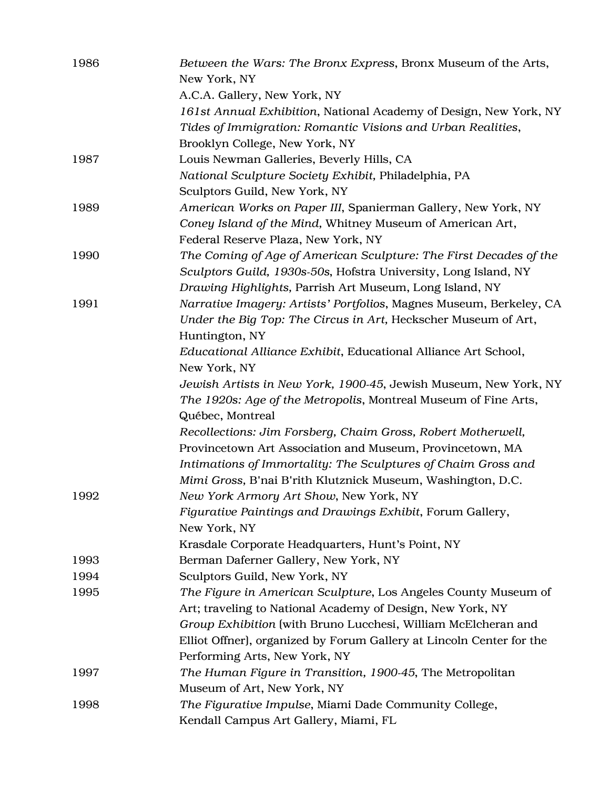| 1986 | Between the Wars: The Bronx Express, Bronx Museum of the Arts,<br>New York, NY |
|------|--------------------------------------------------------------------------------|
|      | A.C.A. Gallery, New York, NY                                                   |
|      | 161st Annual Exhibition, National Academy of Design, New York, NY              |
|      | Tides of Immigration: Romantic Visions and Urban Realities,                    |
|      | Brooklyn College, New York, NY                                                 |
| 1987 | Louis Newman Galleries, Beverly Hills, CA                                      |
|      | National Sculpture Society Exhibit, Philadelphia, PA                           |
|      | Sculptors Guild, New York, NY                                                  |
| 1989 | American Works on Paper III, Spanierman Gallery, New York, NY                  |
|      | Coney Island of the Mind, Whitney Museum of American Art,                      |
|      | Federal Reserve Plaza, New York, NY                                            |
| 1990 | The Coming of Age of American Sculpture: The First Decades of the              |
|      | Sculptors Guild, 1930s-50s, Hofstra University, Long Island, NY                |
|      | Drawing Highlights, Parrish Art Museum, Long Island, NY                        |
| 1991 | Narrative Imagery: Artists' Portfolios, Magnes Museum, Berkeley, CA            |
|      | Under the Big Top: The Circus in Art, Heckscher Museum of Art,                 |
|      | Huntington, NY                                                                 |
|      | Educational Alliance Exhibit, Educational Alliance Art School,                 |
|      | New York, NY                                                                   |
|      | Jewish Artists in New York, 1900-45, Jewish Museum, New York, NY               |
|      | The 1920s: Age of the Metropolis, Montreal Museum of Fine Arts,                |
|      | Québec, Montreal                                                               |
|      | Recollections: Jim Forsberg, Chaim Gross, Robert Motherwell,                   |
|      | Provincetown Art Association and Museum, Provincetown, MA                      |
|      | Intimations of Immortality: The Sculptures of Chaim Gross and                  |
|      | Mimi Gross, B'nai B'rith Klutznick Museum, Washington, D.C.                    |
| 1992 | New York Armory Art Show, New York, NY                                         |
|      | Figurative Paintings and Drawings Exhibit, Forum Gallery,                      |
|      | New York, NY                                                                   |
|      | Krasdale Corporate Headquarters, Hunt's Point, NY                              |
| 1993 | Berman Daferner Gallery, New York, NY                                          |
| 1994 | Sculptors Guild, New York, NY                                                  |
| 1995 | The Figure in American Sculpture, Los Angeles County Museum of                 |
|      | Art; traveling to National Academy of Design, New York, NY                     |
|      | Group Exhibition (with Bruno Lucchesi, William McElcheran and                  |
|      | Elliot Offner), organized by Forum Gallery at Lincoln Center for the           |
|      | Performing Arts, New York, NY                                                  |
| 1997 | The Human Figure in Transition, 1900-45, The Metropolitan                      |
|      | Museum of Art, New York, NY                                                    |
| 1998 | The Figurative Impulse, Miami Dade Community College,                          |
|      | Kendall Campus Art Gallery, Miami, FL                                          |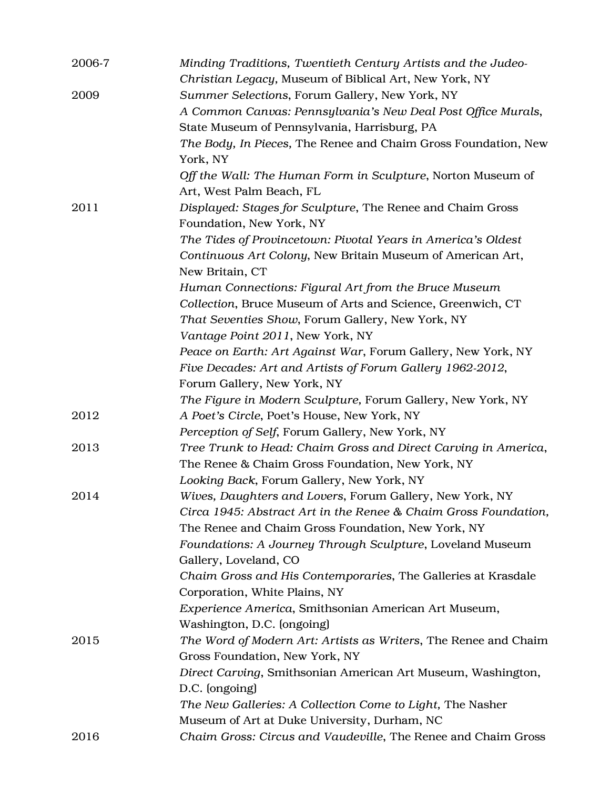| 2006-7 | Minding Traditions, Twentieth Century Artists and the Judeo-                           |
|--------|----------------------------------------------------------------------------------------|
|        | Christian Legacy, Museum of Biblical Art, New York, NY                                 |
| 2009   | Summer Selections, Forum Gallery, New York, NY                                         |
|        | A Common Canvas: Pennsylvania's New Deal Post Office Murals,                           |
|        | State Museum of Pennsylvania, Harrisburg, PA                                           |
|        | The Body, In Pieces, The Renee and Chaim Gross Foundation, New                         |
|        | York, NY                                                                               |
|        | Off the Wall: The Human Form in Sculpture, Norton Museum of                            |
|        | Art, West Palm Beach, FL                                                               |
| 2011   | Displayed: Stages for Sculpture, The Renee and Chaim Gross<br>Foundation, New York, NY |
|        | The Tides of Provincetown: Pivotal Years in America's Oldest                           |
|        | Continuous Art Colony, New Britain Museum of American Art,                             |
|        | New Britain, CT                                                                        |
|        | Human Connections: Figural Art from the Bruce Museum                                   |
|        | Collection, Bruce Museum of Arts and Science, Greenwich, CT                            |
|        | That Seventies Show, Forum Gallery, New York, NY                                       |
|        | Vantage Point 2011, New York, NY                                                       |
|        | Peace on Earth: Art Against War, Forum Gallery, New York, NY                           |
|        | Five Decades: Art and Artists of Forum Gallery 1962-2012,                              |
|        | Forum Gallery, New York, NY                                                            |
|        | The Figure in Modern Sculpture, Forum Gallery, New York, NY                            |
| 2012   | A Poet's Circle, Poet's House, New York, NY                                            |
|        | Perception of Self, Forum Gallery, New York, NY                                        |
| 2013   | Tree Trunk to Head: Chaim Gross and Direct Carving in America,                         |
|        | The Renee & Chaim Gross Foundation, New York, NY                                       |
|        | Looking Back, Forum Gallery, New York, NY                                              |
| 2014   | Wives, Daughters and Lovers, Forum Gallery, New York, NY                               |
|        | Circa 1945: Abstract Art in the Renee & Chaim Gross Foundation,                        |
|        | The Renee and Chaim Gross Foundation, New York, NY                                     |
|        | Foundations: A Journey Through Sculpture, Loveland Museum                              |
|        | Gallery, Loveland, CO                                                                  |
|        | Chaim Gross and His Contemporaries, The Galleries at Krasdale                          |
|        | Corporation, White Plains, NY                                                          |
|        | Experience America, Smithsonian American Art Museum,                                   |
|        | Washington, D.C. (ongoing)                                                             |
| 2015   | The Word of Modern Art: Artists as Writers, The Renee and Chaim                        |
|        | Gross Foundation, New York, NY                                                         |
|        | Direct Carving, Smithsonian American Art Museum, Washington,                           |
|        | D.C. (ongoing)                                                                         |
|        | The New Galleries: A Collection Come to Light, The Nasher                              |
|        | Museum of Art at Duke University, Durham, NC                                           |
| 2016   | Chaim Gross: Circus and Vaudeville, The Renee and Chaim Gross                          |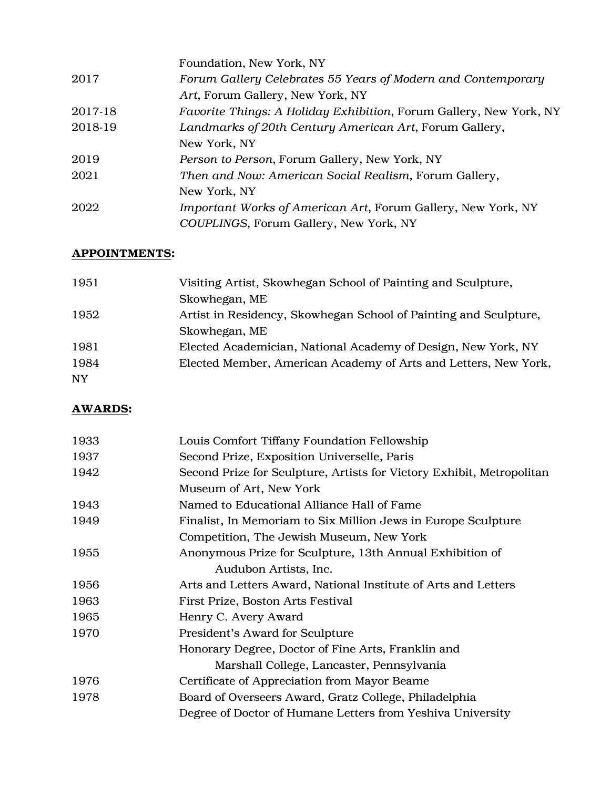|         | Foundation, New York, NY                                                  |
|---------|---------------------------------------------------------------------------|
| 2017    | Forum Gallery Celebrates 55 Years of Modern and Contemporary              |
|         | Art, Forum Gallery, New York, NY                                          |
| 2017-18 | <i>Favorite Things: A Holiday Exhibition, Forum Gallery, New York, NY</i> |
| 2018-19 | Landmarks of 20th Century American Art, Forum Gallery,                    |
|         | New York, NY                                                              |
| 2019    | Person to Person, Forum Gallery, New York, NY                             |
| 2021    | Then and Now: American Social Realism, Forum Gallery,                     |
|         | New York, NY                                                              |
| 2022    | Important Works of American Art, Forum Gallery, New York, NY              |
|         | COUPLINGS, Forum Gallery, New York, NY                                    |

#### APPOINTMENTS:

| 1951      | Visiting Artist, Skowhegan School of Painting and Sculpture,     |
|-----------|------------------------------------------------------------------|
|           | Skowhegan, ME                                                    |
| 1952      | Artist in Residency, Skowhegan School of Painting and Sculpture, |
|           | Skowhegan, ME                                                    |
| 1981      | Elected Academician, National Academy of Design, New York, NY    |
| 1984      | Elected Member, American Academy of Arts and Letters, New York,  |
| <b>NY</b> |                                                                  |

# AWARDS:

| 1933 | Louis Comfort Tiffany Foundation Fellowship                           |
|------|-----------------------------------------------------------------------|
| 1937 | Second Prize, Exposition Universelle, Paris                           |
| 1942 | Second Prize for Sculpture, Artists for Victory Exhibit, Metropolitan |
|      | Museum of Art, New York                                               |
| 1943 | Named to Educational Alliance Hall of Fame                            |
| 1949 | Finalist, In Memoriam to Six Million Jews in Europe Sculpture         |
|      | Competition, The Jewish Museum, New York                              |
| 1955 | Anonymous Prize for Sculpture, 13th Annual Exhibition of              |
|      | Audubon Artists, Inc.                                                 |
| 1956 | Arts and Letters Award, National Institute of Arts and Letters        |
| 1963 | First Prize, Boston Arts Festival                                     |
| 1965 | Henry C. Avery Award                                                  |
| 1970 | President's Award for Sculpture                                       |
|      | Honorary Degree, Doctor of Fine Arts, Franklin and                    |
|      | Marshall College, Lancaster, Pennsylvania                             |
| 1976 | Certificate of Appreciation from Mayor Beame                          |
| 1978 | Board of Overseers Award, Gratz College, Philadelphia                 |
|      | Degree of Doctor of Humane Letters from Yeshiva University            |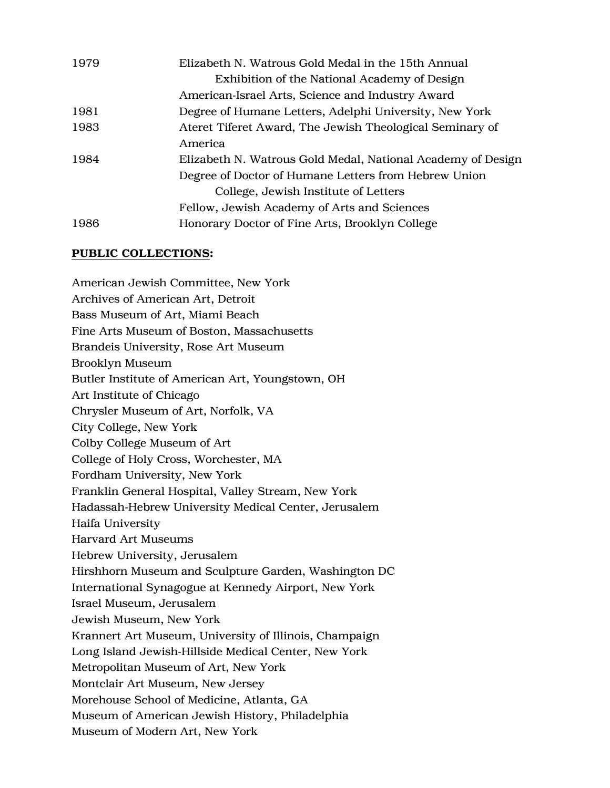| 1979 | Elizabeth N. Watrous Gold Medal in the 15th Annual          |
|------|-------------------------------------------------------------|
|      | Exhibition of the National Academy of Design                |
|      | American-Israel Arts, Science and Industry Award            |
| 1981 | Degree of Humane Letters, Adelphi University, New York      |
| 1983 | Ateret Tiferet Award, The Jewish Theological Seminary of    |
|      | America                                                     |
| 1984 | Elizabeth N. Watrous Gold Medal, National Academy of Design |
|      | Degree of Doctor of Humane Letters from Hebrew Union        |
|      | College, Jewish Institute of Letters                        |
|      | Fellow, Jewish Academy of Arts and Sciences                 |
| 1986 | Honorary Doctor of Fine Arts, Brooklyn College              |

#### PUBLIC COLLECTIONS:

American Jewish Committee, New York Archives of American Art, Detroit Bass Museum of Art, Miami Beach Fine Arts Museum of Boston, Massachusetts Brandeis University, Rose Art Museum Brooklyn Museum Butler Institute of American Art, Youngstown, OH Art Institute of Chicago Chrysler Museum of Art, Norfolk, VA City College, New York Colby College Museum of Art College of Holy Cross, Worchester, MA Fordham University, New York Franklin General Hospital, Valley Stream, New York Hadassah-Hebrew University Medical Center, Jerusalem Haifa University Harvard Art Museums Hebrew University, Jerusalem Hirshhorn Museum and Sculpture Garden, Washington DC International Synagogue at Kennedy Airport, New York Israel Museum, Jerusalem Jewish Museum, New York Krannert Art Museum, University of Illinois, Champaign Long Island Jewish-Hillside Medical Center, New York Metropolitan Museum of Art, New York Montclair Art Museum, New Jersey Morehouse School of Medicine, Atlanta, GA Museum of American Jewish History, Philadelphia Museum of Modern Art, New York